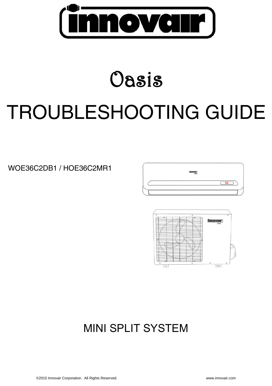

# Oasis TROUBLESHOOTING GUIDE

# WOE36C2DB1 / HOE36C2MR1





# MINI SPLIT SYSTEM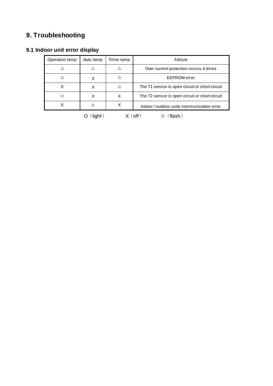## **9. Troubleshooting**

### **9.1 Indoor unit error display**

| Operation lamp                                                                                                                                                                                                                                                                                                                                                                                                                                                                                                                                                                                                                                                                                                                              | Auto lamp | Timer lamp | Failure                                        |
|---------------------------------------------------------------------------------------------------------------------------------------------------------------------------------------------------------------------------------------------------------------------------------------------------------------------------------------------------------------------------------------------------------------------------------------------------------------------------------------------------------------------------------------------------------------------------------------------------------------------------------------------------------------------------------------------------------------------------------------------|-----------|------------|------------------------------------------------|
| ☆                                                                                                                                                                                                                                                                                                                                                                                                                                                                                                                                                                                                                                                                                                                                           | ☆         | ☆          | Over current protection occurs 4 times         |
| ☆                                                                                                                                                                                                                                                                                                                                                                                                                                                                                                                                                                                                                                                                                                                                           | х         | ☆          | <b>EEPROM</b> error                            |
| х                                                                                                                                                                                                                                                                                                                                                                                                                                                                                                                                                                                                                                                                                                                                           | х         |            | The T1 sensor is open circuit or short circuit |
| ಸ                                                                                                                                                                                                                                                                                                                                                                                                                                                                                                                                                                                                                                                                                                                                           | х         | X          | The T2 sensor is open circuit or short circuit |
|                                                                                                                                                                                                                                                                                                                                                                                                                                                                                                                                                                                                                                                                                                                                             | ☆         | х          | Indoor / outdoor units communication error     |
| $\bigcap$ $\bigcap$ $\bigcap$ $\bigcap$ $\bigcap$ $\bigcap$ $\bigcap$ $\bigcap$ $\bigcap$ $\bigcap$ $\bigcap$ $\bigcap$ $\bigcap$ $\bigcap$ $\bigcap$ $\bigcap$ $\bigcap$ $\bigcap$ $\bigcap$ $\bigcap$ $\bigcap$ $\bigcap$ $\bigcap$ $\bigcap$ $\bigcap$ $\bigcap$ $\bigcap$ $\bigcap$ $\bigcap$ $\bigcap$ $\bigcap$ $\bigcap$ $\bigcap$ $\bigcap$ $\bigcap$ $\bigcap$ $\bigcap$<br>$\mathcal{M}$ and $\mathcal{M}$ and $\mathcal{M}$ and $\mathcal{M}$ and $\mathcal{M}$ are $\mathcal{M}$ and $\mathcal{M}$ and $\mathcal{M}$ are $\mathcal{M}$ and $\mathcal{M}$ are $\mathcal{M}$ and $\mathcal{M}$ are $\mathcal{M}$ and $\mathcal{M}$ are $\mathcal{M}$ and $\mathcal{M}$ are $\mathcal{M}$ and<br>$\lambda$ / $\lambda$ , $\lambda$ |           |            |                                                |

O(light)  $X(off)$   $\uparrow$  (flash)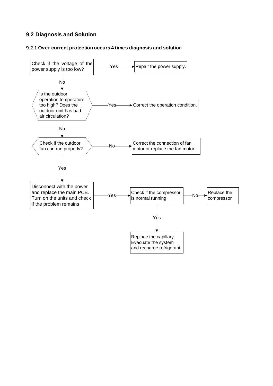#### **9.2 Diagnosis and Solution**

#### **9.2.1 Over current protection occurs 4 times diagnosis and solution**

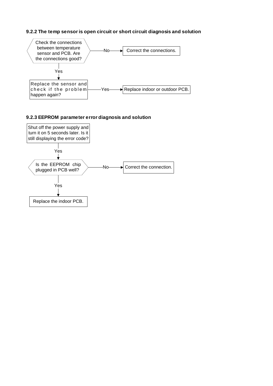#### **9.2.2 The temp sensor is open circuit or short circuit diagnosis and solution**



#### **9.2.3 EEPROM parameter error diagnosis and solution**